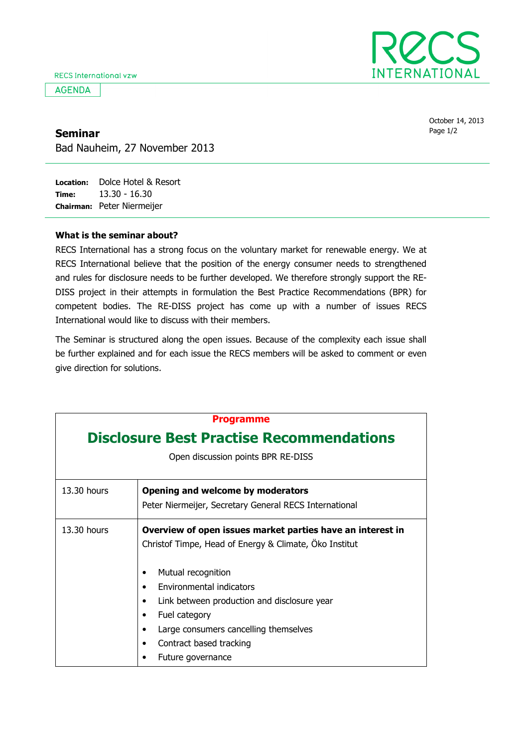**AGENDA** 



October 14, 2013 Seminar Research Contract Contract Contract Contract Contract Contract Contract Contract Contract Contract Contract Contract Contract Contract Contract Contract Contract Contract Contract Contract Contract Contract Contrac

Bad Nauheim, 27 November 2013

Location: Dolce Hotel & Resort Time: Chairman: Peter Niermeijer 13.30 - 16.30

## What is the seminar about?

RECS International has a strong focus on the voluntary market for renewable energy. We at RECS International believe that the position of the energy consumer needs to strengthened and rules for disclosure needs to be further developed. We therefore strongly support the RE-DISS project in their attempts in formulation the Best Practice Recommendations (BPR) for competent bodies. The RE-DISS project has come up with a number of issues RECS International would like to discuss with their members.

The Seminar is structured along the open issues. Because of the complexity each issue shall be further explained and for each issue the RECS members will be asked to comment or even give direction for solutions.

| <b>Programme</b><br><b>Disclosure Best Practise Recommendations</b><br>Open discussion points BPR RE-DISS |                                                                                                                                                                                                                                                                                                                                 |  |
|-----------------------------------------------------------------------------------------------------------|---------------------------------------------------------------------------------------------------------------------------------------------------------------------------------------------------------------------------------------------------------------------------------------------------------------------------------|--|
| $13.30$ hours                                                                                             | Opening and welcome by moderators<br>Peter Niermeijer, Secretary General RECS International                                                                                                                                                                                                                                     |  |
| 13.30 hours                                                                                               | Overview of open issues market parties have an interest in<br>Christof Timpe, Head of Energy & Climate, Oko Institut<br>Mutual recognition<br>Environmental indicators<br>Link between production and disclosure year<br>Fuel category<br>Large consumers cancelling themselves<br>Contract based tracking<br>Future governance |  |